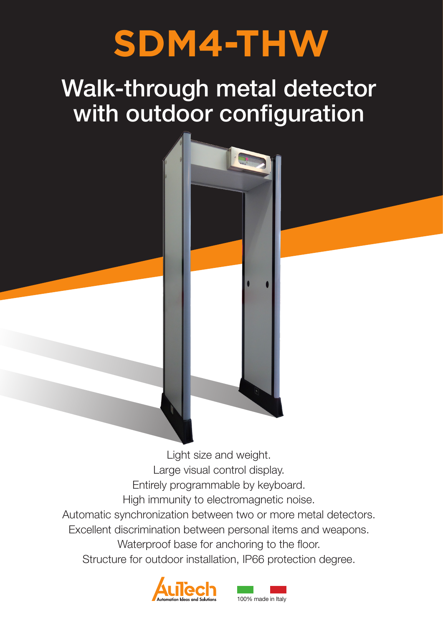# **SDM4-THW**

## Walk-through metal detector with outdoor configuration



Light size and weight. Large visual control display. Entirely programmable by keyboard. High immunity to electromagnetic noise. Automatic synchronization between two or more metal detectors. Excellent discrimination between personal items and weapons. Waterproof base for anchoring to the floor. Structure for outdoor installation, IP66 protection degree.